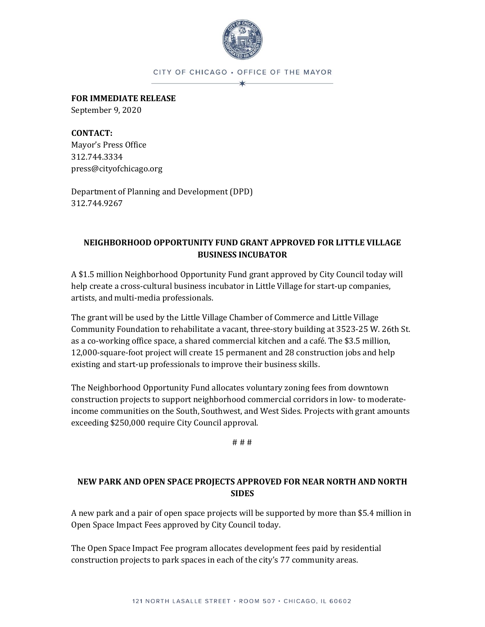

#### CITY OF CHICAGO . OFFICE OF THE MAYOR

**FOR IMMEDIATE RELEASE**

September 9, 2020

**CONTACT:** Mayor's Press Office 312.744.3334 press@cityofchicago.org

Department of Planning and Development (DPD) 312.744.9267

# **NEIGHBORHOOD OPPORTUNITY FUND GRANT APPROVED FOR LITTLE VILLAGE BUSINESS INCUBATOR**

A \$1.5 million Neighborhood Opportunity Fund grant approved by City Council today will help create a cross-cultural business incubator in Little Village for start-up companies, artists, and multi-media professionals.

The grant will be used by the Little Village Chamber of Commerce and Little Village Community Foundation to rehabilitate a vacant, three-story building at 3523-25 W. 26th St. as a co-working office space, a shared commercial kitchen and a café. The \$3.5 million, 12,000-square-foot project will create 15 permanent and 28 construction jobs and help existing and start-up professionals to improve their business skills.

The Neighborhood Opportunity Fund allocates voluntary zoning fees from downtown construction projects to support neighborhood commercial corridors in low- to moderateincome communities on the South, Southwest, and West Sides. Projects with grant amounts exceeding \$250,000 require City Council approval.

# # #

# **NEW PARK AND OPEN SPACE PROJECTS APPROVED FOR NEAR NORTH AND NORTH SIDES**

A new park and a pair of open space projects will be supported by more than \$5.4 million in Open Space Impact Fees approved by City Council today.

The Open Space Impact Fee program allocates development fees paid by residential construction projects to park spaces in each of the city's 77 community areas.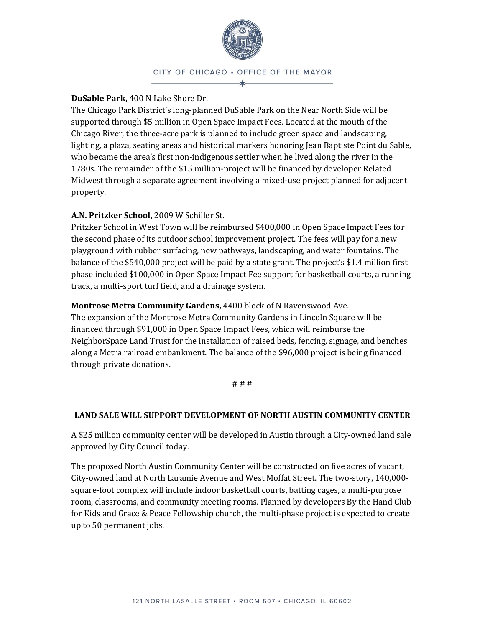

CITY OF CHICAGO . OFFICE OF THE MAYOR  $\star$ 

### **DuSable Park,** 400 N Lake Shore Dr.

The Chicago Park District's long-planned DuSable Park on the Near North Side will be supported through \$5 million in Open Space Impact Fees. Located at the mouth of the Chicago River, the three-acre park is planned to include green space and landscaping, lighting, a plaza, seating areas and historical markers honoring Jean Baptiste Point du Sable, who became the area's first non-indigenous settler when he lived along the river in the 1780s. The remainder of the \$15 million-project will be financed by developer Related Midwest through a separate agreement involving a mixed-use project planned for adjacent property.

## **A.N. Pritzker School,** 2009 W Schiller St.

Pritzker School in West Town will be reimbursed \$400,000 in Open Space Impact Fees for the second phase of its outdoor school improvement project. The fees will pay for a new playground with rubber surfacing, new pathways, landscaping, and water fountains. The balance of the \$540,000 project will be paid by a state grant. The project's \$1.4 million first phase included \$100,000 in Open Space Impact Fee support for basketball courts, a running track, a multi-sport turf field, and a drainage system.

### **Montrose Metra Community Gardens,** 4400 block of N Ravenswood Ave.

The expansion of the Montrose Metra Community Gardens in Lincoln Square will be financed through \$91,000 in Open Space Impact Fees, which will reimburse the NeighborSpace Land Trust for the installation of raised beds, fencing, signage, and benches along a Metra railroad embankment. The balance of the \$96,000 project is being financed through private donations.

#### # # #

### **LAND SALE WILL SUPPORT DEVELOPMENT OF NORTH AUSTIN COMMUNITY CENTER**

A \$25 million community center will be developed in Austin through a City-owned land sale approved by City Council today.

The proposed North Austin Community Center will be constructed on five acres of vacant, City-owned land at North Laramie Avenue and West Moffat Street. The two-story, 140,000 square-foot complex will include indoor basketball courts, batting cages, a multi-purpose room, classrooms, and community meeting rooms. Planned by developers By the Hand Club for Kids and Grace & Peace Fellowship church, the multi-phase project is expected to create up to 50 permanent jobs.